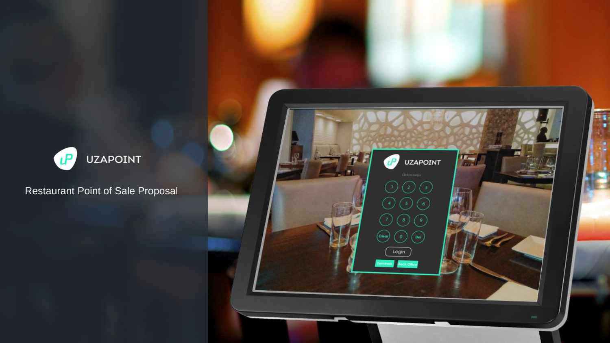

Restaurant Point of Sale Proposal

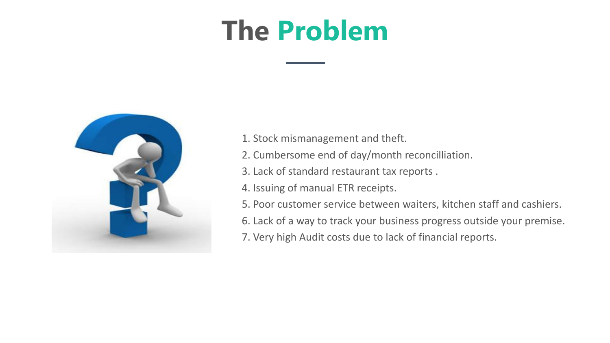# **The Problem**



- 1. Stock mismanagement and theft.
- 2. Cumbersome end of day/month reconcilliation.
- 3. Lack of standard restaurant tax reports .
- 4. Issuing of manual ETR receipts.
- 5. Poor customer service between waiters, kitchen staff and cashiers.
- 6. Lack of a way to track your business progress outside your premise.
- 7. Very high Audit costs due to lack of financial reports.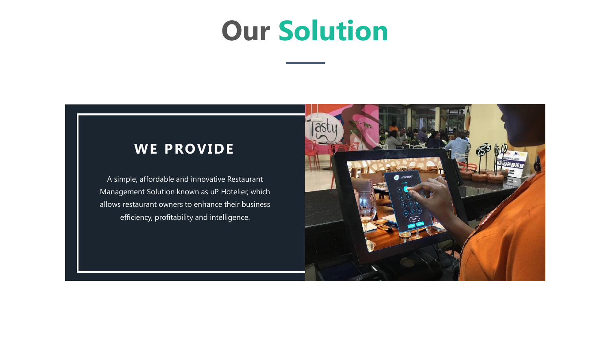### **Our Solution**

### **WE PROVIDE**

A simple, affordable and innovative Restaurant Management Solution known as uP Hotelier, which allows restaurant owners to enhance their business efficiency, profitability and intelligence.

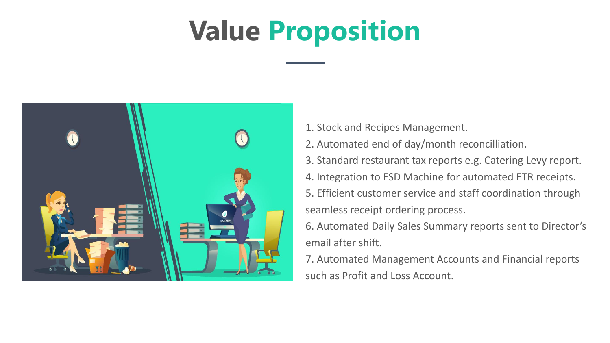# **Value Proposition**



- 1. Stock and Recipes Management.
- 2. Automated end of day/month reconcilliation.
- 3. Standard restaurant tax reports e.g. Catering Levy report.
- 4. Integration to ESD Machine for automated ETR receipts.
- 5. Efficient customer service and staff coordination through seamless receipt ordering process.

6. Automated Daily Sales Summary reports sent to Director's email after shift.

7. Automated Management Accounts and Financial reports such as Profit and Loss Account.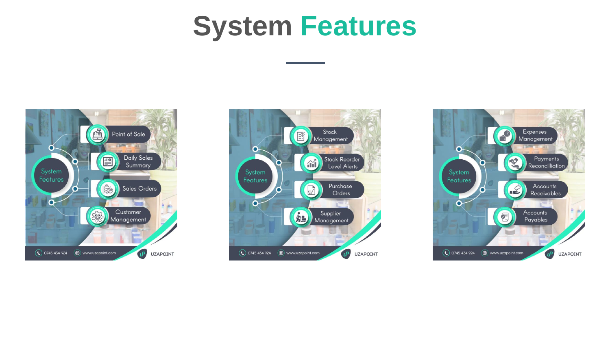### **System Features**





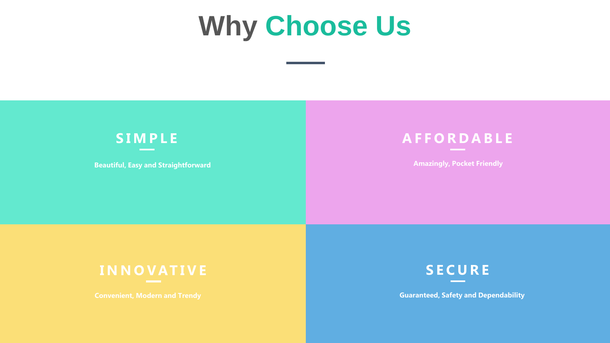### **Why Choose Us**



**Beautiful, Easy and Straightforward**



**Amazingly, Pocket Friendly**

#### **I N N O VAT I V E**



**Guaranteed, Safety and Dependability**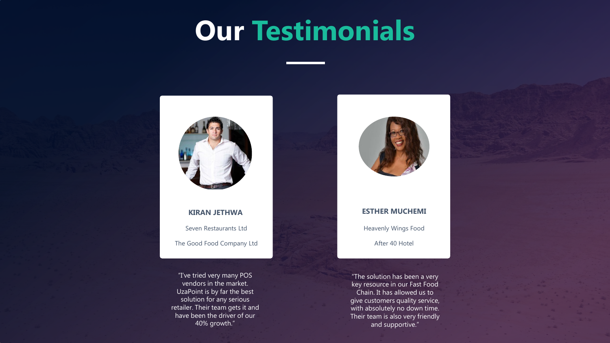### **Our Testimonials**



Seven Restaurants Ltd **KIRAN JETHWA**

The Good Food Company Ltd

"I've tried very many POS vendors in the market. UzaPoint is by far the best solution for any serious retailer. Their team gets it and have been the driver of our 40% growth."



#### **ESTHER MUCHEMI**

Heavenly Wings Food

After 40 Hotel

"The solution has been a very key resource in our Fast Food Chain. It has allowed us to give customers quality service, with absolutely no down time. Their team is also very friendly and supportive."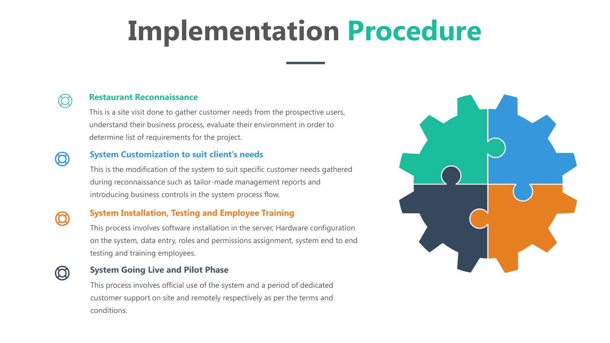# **Implementation Procedure**



#### **Restaurant Reconnaissance**

This is a site visit done to gather customer needs from the prospective users, understand their business process, evaluate their environment in order to determine list of requirements for the project.

#### **System Customization to suit client's needs**

This is the modification of the system to suit specific customer needs gathered during reconnaissance such as tailor-made management reports and introducing business controls in the system process flow.



 $\bm{\omega}$ 

#### **System Installation, Testing and Employee Training**

This process involves software installation in the server, Hardware configuration on the system, data entry, roles and permissions assignment, system end to end testing and training employees.



#### **System Going Live and Pilot Phase**

This process involves official use of the system and a period of dedicated customer support on site and remotely respectively as per the terms and conditions.

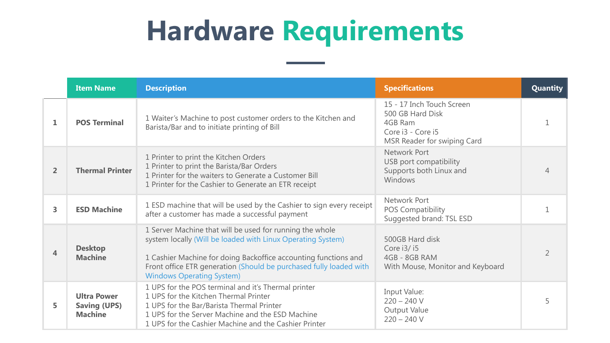# **Hardware Requirements**

|                | <b>Item Name</b>                                            | <b>Description</b>                                                                                                                                                                                                                                                                                   | <b>Specifications</b>                                                                                        | <b>Quantity</b> |
|----------------|-------------------------------------------------------------|------------------------------------------------------------------------------------------------------------------------------------------------------------------------------------------------------------------------------------------------------------------------------------------------------|--------------------------------------------------------------------------------------------------------------|-----------------|
| 1              | <b>POS Terminal</b>                                         | 1 Waiter's Machine to post customer orders to the Kitchen and<br>Barista/Bar and to initiate printing of Bill                                                                                                                                                                                        | 15 - 17 Inch Touch Screen<br>500 GB Hard Disk<br>4GB Ram<br>Core i3 - Core i5<br>MSR Reader for swiping Card |                 |
| $\overline{2}$ | <b>Thermal Printer</b>                                      | 1 Printer to print the Kitchen Orders<br>1 Printer to print the Barista/Bar Orders<br>1 Printer for the waiters to Generate a Customer Bill<br>1 Printer for the Cashier to Generate an ETR receipt                                                                                                  | Network Port<br>USB port compatibility<br>Supports both Linux and<br>Windows                                 | 4               |
| 3              | <b>ESD Machine</b>                                          | 1 ESD machine that will be used by the Cashier to sign every receipt<br>after a customer has made a successful payment                                                                                                                                                                               | Network Port<br>POS Compatibility<br>Suggested brand: TSL ESD                                                |                 |
| $\overline{4}$ | <b>Desktop</b><br><b>Machine</b>                            | 1 Server Machine that will be used for running the whole<br>system locally (Will be loaded with Linux Operating System)<br>1 Cashier Machine for doing Backoffice accounting functions and<br>Front office ETR generation (Should be purchased fully loaded with<br><b>Windows Operating System)</b> | 500GB Hard disk<br>Core i3/i5<br>4GB - 8GB RAM<br>With Mouse, Monitor and Keyboard                           | $\overline{2}$  |
| 5              | <b>Ultra Power</b><br><b>Saving (UPS)</b><br><b>Machine</b> | 1 UPS for the POS terminal and it's Thermal printer<br>1 UPS for the Kitchen Thermal Printer<br>1 UPS for the Bar/Barista Thermal Printer<br>1 UPS for the Server Machine and the ESD Machine<br>1 UPS for the Cashier Machine and the Cashier Printer                                               | Input Value:<br>$220 - 240$ V<br><b>Output Value</b><br>$220 - 240$ V                                        | 5               |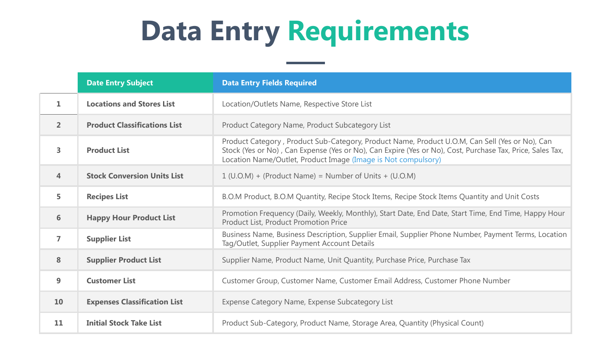# **Data Entry Requirements**

|                         | <b>Date Entry Subject</b>           | <b>Data Entry Fields Required</b>                                                                                                                                                                                                                                            |  |  |
|-------------------------|-------------------------------------|------------------------------------------------------------------------------------------------------------------------------------------------------------------------------------------------------------------------------------------------------------------------------|--|--|
| $\mathbf{1}$            | <b>Locations and Stores List</b>    | Location/Outlets Name, Respective Store List                                                                                                                                                                                                                                 |  |  |
| 2 <sup>1</sup>          | <b>Product Classifications List</b> | Product Category Name, Product Subcategory List                                                                                                                                                                                                                              |  |  |
| $\overline{\mathbf{3}}$ | <b>Product List</b>                 | Product Category, Product Sub-Category, Product Name, Product U.O.M, Can Sell (Yes or No), Can<br>Stock (Yes or No), Can Expense (Yes or No), Can Expire (Yes or No), Cost, Purchase Tax, Price, Sales Tax,<br>Location Name/Outlet, Product Image (Image is Not compulsory) |  |  |
| $\overline{4}$          | <b>Stock Conversion Units List</b>  | $1 (U.O.M) + (Product Name) = Number of Units + (U.O.M)$                                                                                                                                                                                                                     |  |  |
| 5                       | <b>Recipes List</b>                 | B.O.M Product, B.O.M Quantity, Recipe Stock Items, Recipe Stock Items Quantity and Unit Costs                                                                                                                                                                                |  |  |
| 6                       | <b>Happy Hour Product List</b>      | Promotion Frequency (Daily, Weekly, Monthly), Start Date, End Date, Start Time, End Time, Happy Hour<br>Product List, Product Promotion Price                                                                                                                                |  |  |
| $\overline{ }$          | <b>Supplier List</b>                | Business Name, Business Description, Supplier Email, Supplier Phone Number, Payment Terms, Location<br>Tag/Outlet, Supplier Payment Account Details                                                                                                                          |  |  |
| 8                       | <b>Supplier Product List</b>        | Supplier Name, Product Name, Unit Quantity, Purchase Price, Purchase Tax                                                                                                                                                                                                     |  |  |
| 9                       | <b>Customer List</b>                | Customer Group, Customer Name, Customer Email Address, Customer Phone Number                                                                                                                                                                                                 |  |  |
| 10                      | <b>Expenses Classification List</b> | Expense Category Name, Expense Subcategory List                                                                                                                                                                                                                              |  |  |
| 11                      | <b>Initial Stock Take List</b>      | Product Sub-Category, Product Name, Storage Area, Quantity (Physical Count)                                                                                                                                                                                                  |  |  |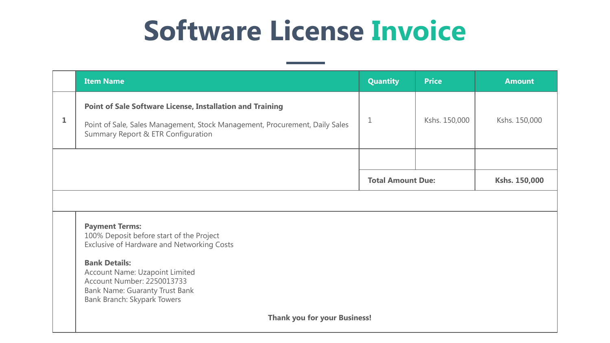# **Software License Invoice**

|   | <b>Item Name</b>                                                                                                                                                                      | <b>Quantity</b> | <b>Price</b>             | <b>Amount</b> |  |  |
|---|---------------------------------------------------------------------------------------------------------------------------------------------------------------------------------------|-----------------|--------------------------|---------------|--|--|
| 1 | <b>Point of Sale Software License, Installation and Training</b><br>Point of Sale, Sales Management, Stock Management, Procurement, Daily Sales<br>Summary Report & ETR Configuration | $\mathbf 1$     | Kshs. 150,000            | Kshs. 150,000 |  |  |
|   |                                                                                                                                                                                       |                 |                          |               |  |  |
|   |                                                                                                                                                                                       |                 | <b>Total Amount Due:</b> | Kshs. 150,000 |  |  |
|   |                                                                                                                                                                                       |                 |                          |               |  |  |
|   | <b>Payment Terms:</b><br>100% Deposit before start of the Project<br>Exclusive of Hardware and Networking Costs                                                                       |                 |                          |               |  |  |
|   | <b>Bank Details:</b><br>Account Name: Uzapoint Limited<br>Account Number: 2250013733<br>Bank Name: Guaranty Trust Bank<br>Bank Branch: Skypark Towers                                 |                 |                          |               |  |  |
|   | <b>Thank you for your Business!</b>                                                                                                                                                   |                 |                          |               |  |  |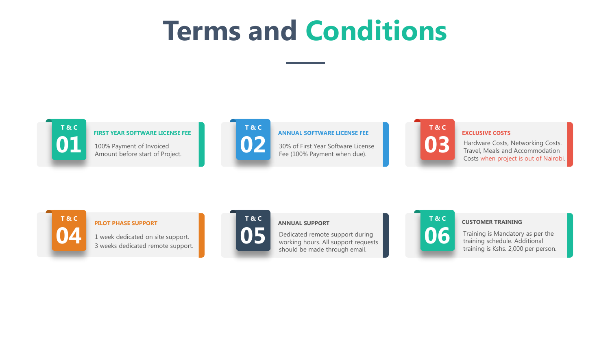## **Terms and Conditions**



#### **FIRST YEAR SOFTWARE LICENSE FEE**

**01** 100% Payment of Invoiced Amount before start of Project.



#### **ANNUAL SOFTWARE LICENSE FEE**

**02 30% of First Year Software License** Fee (100% Payment when due).



#### **EXCLUSIVE COSTS**

**03** Hardware Costs, Networking Costs. Travel, Meals and Accommodation Costs when project is out of Nairobi.



#### **PILOT PHASE SUPPORT**

**04** 1 week dedicated on site support. 3 weeks dedicated remote support.



#### **ANNUAL SUPPORT**

**05** Dedicated remote support during<br>
working hours. All support requests should be made through email.



**06** Training is Mandatory as per the training schedule. Additional training is Kshs. 2,000 per person.